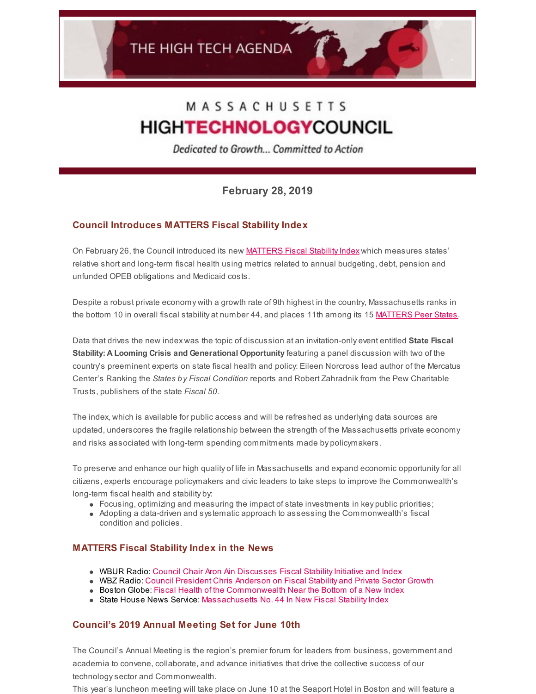# MASSACHUSETTS **HIGHTECHNOLOGYCOUNCIL**

Dedicated to Growth... Committed to Action

**February 28, 2019**

# **Council Introduces MATTERS Fiscal Stability Index**

On February 26, the Council introduced its new **MATTERS Fiscal Stability Index** which measures states' relative short and long-term fiscal health using metrics related to annual budgeting, debt, pension and unfunded OPEB obligations and Medicaid costs.

Despite a robust private economy with a growth rate of 9th highest in the country, Massachusetts ranks in the bottom 10 in overall fiscal stability at number 44, and places 11th among its 15 [MATTERS](http://matters.mhtc.org/about) Peer States.

Data that drives the new index was the topic of discussion at an invitation-only event entitled **State Fiscal Stability: A Looming Crisis and Generational Opportunity** featuring a panel discussion with two of the country's preeminent experts on state fiscal health and policy: Eileen Norcross lead author of the Mercatus Center's Ranking the *States by Fiscal Condition* reports and Robert Zahradnik from the Pew Charitable Trusts, publishers of the state *Fiscal 50*.

The index, which is available for public access and will be refreshed as underlying data sources are updated, underscores the fragile relationship between the strength of the Massachusetts private economy and risks associated with long-term spending commitments made by policymakers.

To preserve and enhance our high quality of life in Massachusetts and expand economic opportunityfor all citizens, experts encourage policymakers and civic leaders to take steps to improve the Commonwealth's long-term fiscal health and stability by:

- $\bullet$  Focusing, optimizing and measuring the impact of state investments in key public priorities;
- Adopting a data-driven and systematic approach to assessing the Commonwealth's fiscal condition and policies.

## **MATTERS Fiscal Stability Index in the News**

- WBUR Radio: Council Chair Aron Ain Discusses Fiscal Stability Initiative and Index
- WBZ Radio: Council [President](http://www.mhtc.org/council-president-chris-anderson-on-the-importance-of-fiscal-stability-and-private-sector-growth/) Chris Anderson on Fiscal Stability and Private Sector Growth
- **Boston [Globe:](https://www.bostonglobe.com/business/talking-points/2019/02/27/fiscal-health-commonwealth-near-bottom-new-index/B5ygRQDKsG55u8v9r8OIlO/story.html) Fiscal Health of the [Commonwealth](https://www.bostonglobe.com/business/talking-points/2019/02/27/fiscal-health-commonwealth-near-bottom-new-index/B5ygRQDKsG55u8v9r8OIlO/story.html) Near the Bottom of a New Index**
- State House News Service: [Massachusetts](http://www.mhtc.org/massachusetts-no-44-in-new-fiscal-stability-index/) No. 44 In New Fiscal Stability Index

## **Council's 2019 Annual Meeting Set for June 10th**

The Council's Annual Meeting is the region's premier forum for leaders from business, government and academia to convene, collaborate, and advance initiatives that drive the collective success of our technologysector and Commonwealth.

This year's luncheon meeting will take place on June 10 at the Seaport Hotel in Boston and will feature a